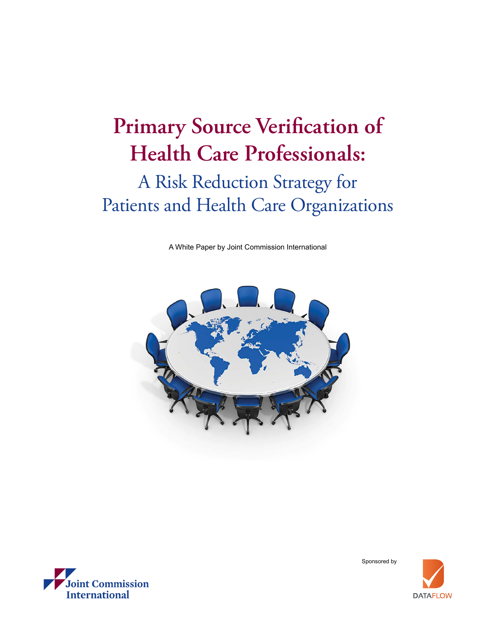# **Primary Source Verification of Health Care Professionals:**

## A Risk Reduction Strategy for Patients and Health Care Organizations

A White Paper by Joint Commission International





Sponsored by

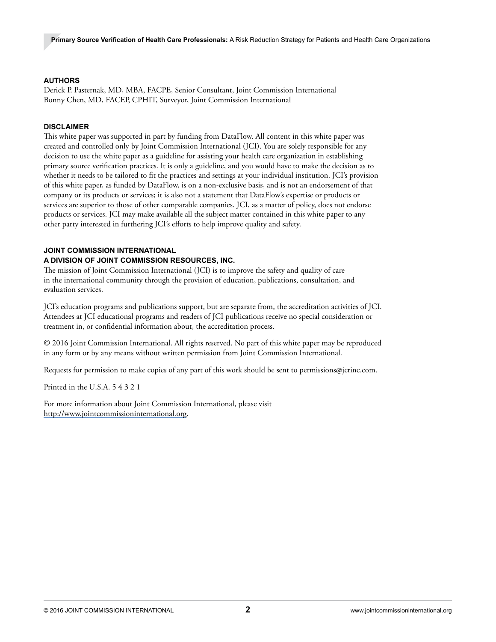### **AUTHORS**

Derick P. Pasternak, MD, MBA, FACPE, Senior Consultant, Joint Commission International Bonny Chen, MD, FACEP, CPHIT, Surveyor, Joint Commission International

#### **DISCLAIMER**

This white paper was supported in part by funding from DataFlow. All content in this white paper was created and controlled only by Joint Commission International (JCI). You are solely responsible for any decision to use the white paper as a guideline for assisting your health care organization in establishing primary source verification practices. It is only a guideline, and you would have to make the decision as to whether it needs to be tailored to fit the practices and settings at your individual institution. JCI's provision of this white paper, as funded by DataFlow, is on a non-exclusive basis, and is not an endorsement of that company or its products or services; it is also not a statement that DataFlow's expertise or products or services are superior to those of other comparable companies. JCI, as a matter of policy, does not endorse products or services. JCI may make available all the subject matter contained in this white paper to any other party interested in furthering JCI's efforts to help improve quality and safety.

### **JOINT COMMISSION INTERNATIONAL**

### **A DIVISION OF JOINT COMMISSION RESOURCES, INC.**

The mission of Joint Commission International (JCI) is to improve the safety and quality of care in the international community through the provision of education, publications, consultation, and evaluation services.

JCI's education programs and publications support, but are separate from, the accreditation activities of JCI. Attendees at JCI educational programs and readers of JCI publications receive no special consideration or treatment in, or confidential information about, the accreditation process.

© 2016 Joint Commission International. All rights reserved. No part of this white paper may be reproduced in any form or by any means without written permission from Joint Commission International.

Requests for permission to make copies of any part of this work should be sent to [permissions@jcrinc.com.](mailto:permissions%40jcrinc.com?subject=)

Printed in the U.S.A. 5 4 3 2 1

For more information about Joint Commission International, please visit <http://www.jointcommissioninternational.org>.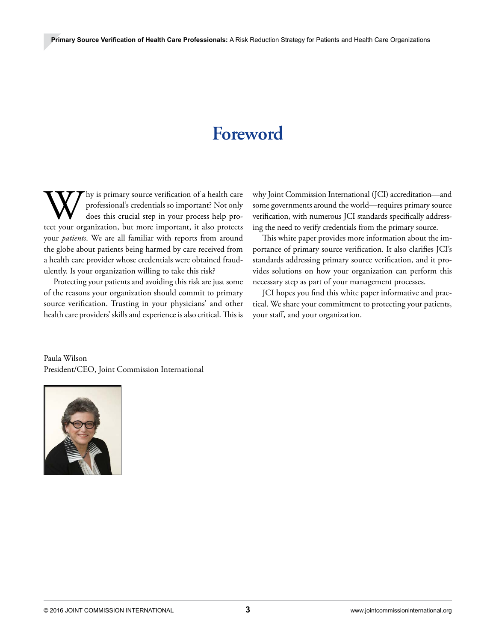## **Foreword**

W hy is primary source verification of a health care professional's credentials so important? Not only does this crucial step in your process help protect your organization, but more important, it also protects professional's credentials so important? Not only does this crucial step in your process help proyour *patients*. We are all familiar with reports from around the globe about patients being harmed by care received from a health care provider whose credentials were obtained fraudulently. Is your organization willing to take this risk?

Protecting your patients and avoiding this risk are just some of the reasons your organization should commit to primary source verification. Trusting in your physicians' and other health care providers' skills and experience is also critical. This is why Joint Commission International (JCI) accreditation—and some governments around the world—requires primary source verification, with numerous JCI standards specifically addressing the need to verify credentials from the primary source.

This white paper provides more information about the importance of primary source verification. It also clarifies JCI's standards addressing primary source verification, and it provides solutions on how your organization can perform this necessary step as part of your management processes.

JCI hopes you find this white paper informative and practical. We share your commitment to protecting your patients, your staff, and your organization.

Paula Wilson President/CEO, Joint Commission International

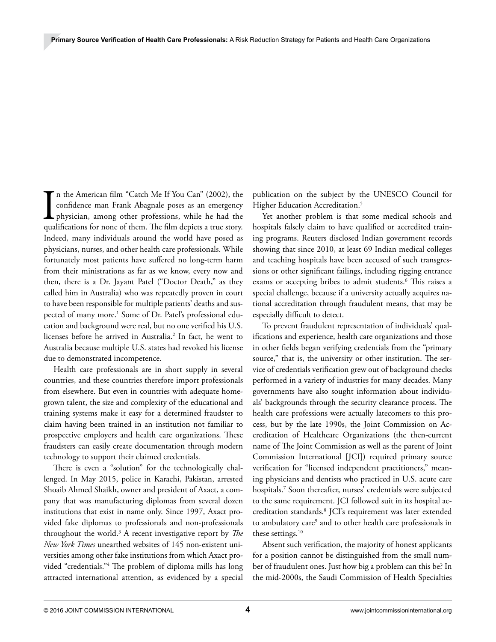$\prod_{\text{quad}}$ n the American film "Catch Me If You Can" (2002), the confidence man Frank Abagnale poses as an emergency physician, among other professions, while he had the qualifications for none of them. The film depicts a true story. Indeed, many individuals around the world have posed as physicians, nurses, and other health care professionals. While fortunately most patients have suffered no long-term harm from their ministrations as far as we know, every now and then, there is a Dr. Jayant Patel ("Doctor Death," as they called him in Australia) who was repeatedly proven in court to have been responsible for multiple patients' deaths and suspected of many more.<sup>1</sup> Some of Dr. Patel's professional education and background were real, but no one verified his U.S. licenses before he arrived in Australia.2 In fact, he went to Australia because multiple U.S. states had revoked his license due to demonstrated incompetence.

Health care professionals are in short supply in several countries, and these countries therefore import professionals from elsewhere. But even in countries with adequate homegrown talent, the size and complexity of the educational and training systems make it easy for a determined fraudster to claim having been trained in an institution not familiar to prospective employers and health care organizations. These fraudsters can easily create documentation through modern technology to support their claimed credentials.

There is even a "solution" for the technologically challenged. In May 2015, police in Karachi, Pakistan, arrested Shoaib Ahmed Shaikh, owner and president of Axact, a company that was manufacturing diplomas from several dozen institutions that exist in name only. Since 1997, Axact provided fake diplomas to professionals and non-professionals throughout the world.3 A recent investigative report by *The New York Times* unearthed websites of 145 non-existent universities among other fake institutions from which Axact provided "credentials."4 The problem of diploma mills has long attracted international attention, as evidenced by a special

publication on the subject by the UNESCO Council for Higher Education Accreditation.<sup>5</sup>

Yet another problem is that some medical schools and hospitals falsely claim to have qualified or accredited training programs. Reuters disclosed Indian government records showing that since 2010, at least 69 Indian medical colleges and teaching hospitals have been accused of such transgressions or other significant failings, including rigging entrance exams or accepting bribes to admit students.<sup>6</sup> This raises a special challenge, because if a university actually acquires national accreditation through fraudulent means, that may be especially difficult to detect.

To prevent fraudulent representation of individuals' qualifications and experience, health care organizations and those in other fields began verifying credentials from the "primary source," that is, the university or other institution. The service of credentials verification grew out of background checks performed in a variety of industries for many decades. Many governments have also sought information about individuals' backgrounds through the security clearance process. The health care professions were actually latecomers to this process, but by the late 1990s, the Joint Commission on Accreditation of Healthcare Organizations (the then-current name of The Joint Commission as well as the parent of Joint Commission International [JCI]) required primary source verification for "licensed independent practitioners," meaning physicians and dentists who practiced in U.S. acute care hospitals.7 Soon thereafter, nurses' credentials were subjected to the same requirement. JCI followed suit in its hospital accreditation standards.8 JCI's requirement was later extended to ambulatory care<sup>9</sup> and to other health care professionals in these settings.<sup>10</sup>

Absent such verification, the majority of honest applicants for a position cannot be distinguished from the small number of fraudulent ones. Just how big a problem can this be? In the mid-2000s, the Saudi Commission of Health Specialties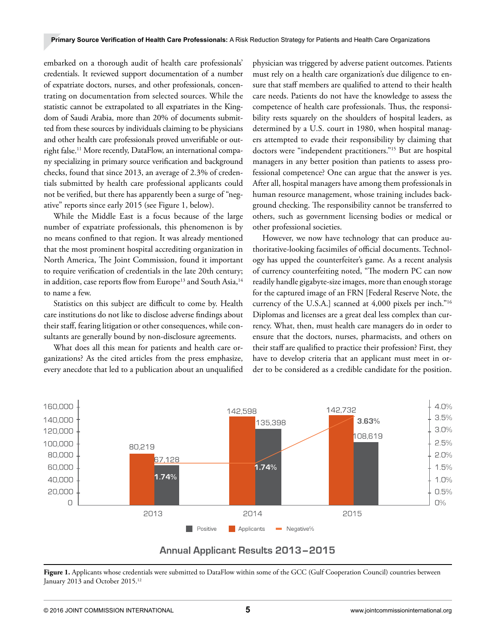embarked on a thorough audit of health care professionals' credentials. It reviewed support documentation of a number of expatriate doctors, nurses, and other professionals, concentrating on documentation from selected sources. While the statistic cannot be extrapolated to all expatriates in the Kingdom of Saudi Arabia, more than 20% of documents submitted from these sources by individuals claiming to be physicians and other health care professionals proved unverifiable or outright false.<sup>11</sup> More recently, DataFlow, an international company specializing in primary source verification and background checks, found that since 2013, an average of 2.3% of credentials submitted by health care professional applicants could not be verified, but there has apparently been a surge of "negative" reports since early 2015 (see Figure 1, below).

While the Middle East is a focus because of the large number of expatriate professionals, this phenomenon is by no means confined to that region. It was already mentioned that the most prominent hospital accrediting organization in North America, The Joint Commission, found it important to require verification of credentials in the late 20th century; in addition, case reports flow from Europe<sup>13</sup> and South Asia,<sup>14</sup> to name a few.

Statistics on this subject are difficult to come by. Health care institutions do not like to disclose adverse findings about their staff, fearing litigation or other consequences, while consultants are generally bound by non-disclosure agreements.

What does all this mean for patients and health care organizations? As the cited articles from the press emphasize, every anecdote that led to a publication about an unqualified

physician was triggered by adverse patient outcomes. Patients must rely on a health care organization's due diligence to ensure that staff members are qualified to attend to their health care needs. Patients do not have the knowledge to assess the competence of health care professionals. Thus, the responsibility rests squarely on the shoulders of hospital leaders, as determined by a U.S. court in 1980, when hospital managers attempted to evade their responsibility by claiming that doctors were "independent practitioners."15 But are hospital managers in any better position than patients to assess professional competence? One can argue that the answer is yes. After all, hospital managers have among them professionals in human resource management, whose training includes background checking. The responsibility cannot be transferred to others, such as government licensing bodies or medical or other professional societies.

However, we now have technology that can produce authoritative-looking facsimiles of official documents. Technology has upped the counterfeiter's game. As a recent analysis of currency counterfeiting noted, "The modern PC can now readily handle gigabyte-size images, more than enough storage for the captured image of an FRN [Federal Reserve Note, the currency of the U.S.A.] scanned at 4,000 pixels per inch."16 Diplomas and licenses are a great deal less complex than currency. What, then, must health care managers do in order to ensure that the doctors, nurses, pharmacists, and others on their staff are qualified to practice their profession? First, they have to develop criteria that an applicant must meet in order to be considered as a credible candidate for the position.



## **Annual Applicant Results 2013-2015**

Figure 1. Applicants whose credentials were submitted to DataFlow within some of the GCC (Gulf Cooperation Council) countries between January 2013 and October 2015.<sup>12</sup>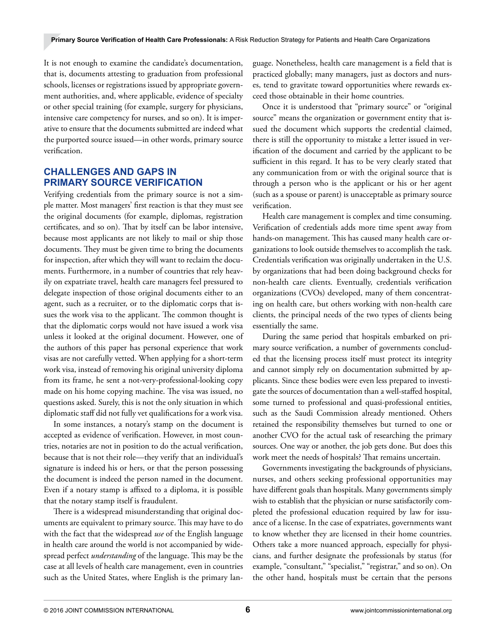It is not enough to examine the candidate's documentation, that is, documents attesting to graduation from professional schools, licenses or registrations issued by appropriate government authorities, and, where applicable, evidence of specialty or other special training (for example, surgery for physicians, intensive care competency for nurses, and so on). It is imperative to ensure that the documents submitted are indeed what the purported source issued—in other words, primary source verification.

## **CHALLENGES AND GAPS IN PRIMARY SOURCE VERIFICATION**

Verifying credentials from the primary source is not a simple matter. Most managers' first reaction is that they must see the original documents (for example, diplomas, registration certificates, and so on). That by itself can be labor intensive, because most applicants are not likely to mail or ship those documents. They must be given time to bring the documents for inspection, after which they will want to reclaim the documents. Furthermore, in a number of countries that rely heavily on expatriate travel, health care managers feel pressured to delegate inspection of those original documents either to an agent, such as a recruiter, or to the diplomatic corps that issues the work visa to the applicant. The common thought is that the diplomatic corps would not have issued a work visa unless it looked at the original document. However, one of the authors of this paper has personal experience that work visas are not carefully vetted. When applying for a short-term work visa, instead of removing his original university diploma from its frame, he sent a not-very-professional-looking copy made on his home copying machine. The visa was issued, no questions asked. Surely, this is not the only situation in which diplomatic staff did not fully vet qualifications for a work visa.

In some instances, a notary's stamp on the document is accepted as evidence of verification. However, in most countries, notaries are not in position to do the actual verification, because that is not their role—they verify that an individual's signature is indeed his or hers, or that the person possessing the document is indeed the person named in the document. Even if a notary stamp is affixed to a diploma, it is possible that the notary stamp itself is fraudulent.

There is a widespread misunderstanding that original documents are equivalent to primary source. This may have to do with the fact that the widespread *use* of the English language in health care around the world is not accompanied by widespread perfect *understanding* of the language. This may be the case at all levels of health care management, even in countries such as the United States, where English is the primary lan-

guage. Nonetheless, health care management is a field that is practiced globally; many managers, just as doctors and nurses, tend to gravitate toward opportunities where rewards exceed those obtainable in their home countries.

Once it is understood that "primary source" or "original source" means the organization or government entity that issued the document which supports the credential claimed, there is still the opportunity to mistake a letter issued in verification of the document and carried by the applicant to be sufficient in this regard. It has to be very clearly stated that any communication from or with the original source that is through a person who is the applicant or his or her agent (such as a spouse or parent) is unacceptable as primary source verification.

Health care management is complex and time consuming. Verification of credentials adds more time spent away from hands-on management. This has caused many health care organizations to look outside themselves to accomplish the task. Credentials verification was originally undertaken in the U.S. by organizations that had been doing background checks for non-health care clients. Eventually, credentials verification organizations (CVOs) developed, many of them concentrating on health care, but others working with non-health care clients, the principal needs of the two types of clients being essentially the same.

During the same period that hospitals embarked on primary source verification, a number of governments concluded that the licensing process itself must protect its integrity and cannot simply rely on documentation submitted by applicants. Since these bodies were even less prepared to investigate the sources of documentation than a well-staffed hospital, some turned to professional and quasi-professional entities, such as the Saudi Commission already mentioned. Others retained the responsibility themselves but turned to one or another CVO for the actual task of researching the primary sources. One way or another, the job gets done. But does this work meet the needs of hospitals? That remains uncertain.

Governments investigating the backgrounds of physicians, nurses, and others seeking professional opportunities may have different goals than hospitals. Many governments simply wish to establish that the physician or nurse satisfactorily completed the professional education required by law for issuance of a license. In the case of expatriates, governments want to know whether they are licensed in their home countries. Others take a more nuanced approach, especially for physicians, and further designate the professionals by status (for example, "consultant," "specialist," "registrar," and so on). On the other hand, hospitals must be certain that the persons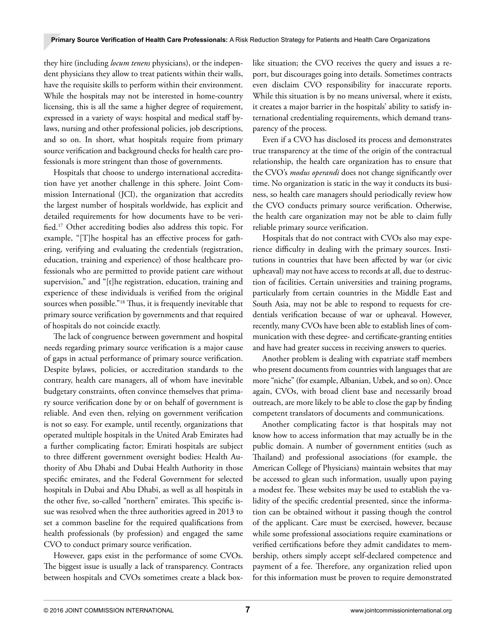they hire (including *locum tenens* physicians), or the independent physicians they allow to treat patients within their walls, have the requisite skills to perform within their environment. While the hospitals may not be interested in home-country licensing, this is all the same a higher degree of requirement, expressed in a variety of ways: hospital and medical staff bylaws, nursing and other professional policies, job descriptions, and so on. In short, what hospitals require from primary source verification and background checks for health care professionals is more stringent than those of governments.

Hospitals that choose to undergo international accreditation have yet another challenge in this sphere. Joint Commission International (JCI), the organization that accredits the largest number of hospitals worldwide, has explicit and detailed requirements for how documents have to be verified.17 Other accrediting bodies also address this topic. For example, "[T]he hospital has an effective process for gathering, verifying and evaluating the credentials (registration, education, training and experience) of those healthcare professionals who are permitted to provide patient care without supervision," and "[t]he registration, education, training and experience of these individuals is verified from the original sources when possible."18 Thus, it is frequently inevitable that primary source verification by governments and that required of hospitals do not coincide exactly.

The lack of congruence between government and hospital needs regarding primary source verification is a major cause of gaps in actual performance of primary source verification. Despite bylaws, policies, or accreditation standards to the contrary, health care managers, all of whom have inevitable budgetary constraints, often convince themselves that primary source verification done by or on behalf of government is reliable. And even then, relying on government verification is not so easy. For example, until recently, organizations that operated multiple hospitals in the United Arab Emirates had a further complicating factor; Emirati hospitals are subject to three different government oversight bodies: Health Authority of Abu Dhabi and Dubai Health Authority in those specific emirates, and the Federal Government for selected hospitals in Dubai and Abu Dhabi, as well as all hospitals in the other five, so-called "northern" emirates. This specific issue was resolved when the three authorities agreed in 2013 to set a common baseline for the required qualifications from health professionals (by profession) and engaged the same CVO to conduct primary source verification.

However, gaps exist in the performance of some CVOs. The biggest issue is usually a lack of transparency. Contracts between hospitals and CVOs sometimes create a black boxlike situation; the CVO receives the query and issues a report, but discourages going into details. Sometimes contracts even disclaim CVO responsibility for inaccurate reports. While this situation is by no means universal, where it exists, it creates a major barrier in the hospitals' ability to satisfy international credentialing requirements, which demand transparency of the process.

Even if a CVO has disclosed its process and demonstrates true transparency at the time of the origin of the contractual relationship, the health care organization has to ensure that the CVO's *modus operandi* does not change significantly over time. No organization is static in the way it conducts its business, so health care managers should periodically review how the CVO conducts primary source verification. Otherwise, the health care organization may not be able to claim fully reliable primary source verification.

Hospitals that do not contract with CVOs also may experience difficulty in dealing with the primary sources. Institutions in countries that have been affected by war (or civic upheaval) may not have access to records at all, due to destruction of facilities. Certain universities and training programs, particularly from certain countries in the Middle East and South Asia, may not be able to respond to requests for credentials verification because of war or upheaval. However, recently, many CVOs have been able to establish lines of communication with these degree- and certificate-granting entities and have had greater success in receiving answers to queries.

Another problem is dealing with expatriate staff members who present documents from countries with languages that are more "niche" (for example, Albanian, Uzbek, and so on). Once again, CVOs, with broad client base and necessarily broad outreach, are more likely to be able to close the gap by finding competent translators of documents and communications.

Another complicating factor is that hospitals may not know how to access information that may actually be in the public domain. A number of government entities (such as Thailand) and professional associations (for example, the American College of Physicians) maintain websites that may be accessed to glean such information, usually upon paying a modest fee. These websites may be used to establish the validity of the specific credential presented, since the information can be obtained without it passing though the control of the applicant. Care must be exercised, however, because while some professional associations require examinations or verified certifications before they admit candidates to membership, others simply accept self-declared competence and payment of a fee. Therefore, any organization relied upon for this information must be proven to require demonstrated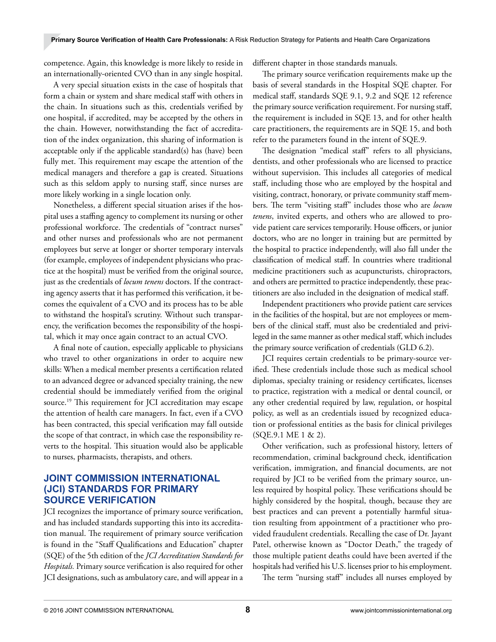competence. Again, this knowledge is more likely to reside in an internationally-oriented CVO than in any single hospital.

A very special situation exists in the case of hospitals that form a chain or system and share medical staff with others in the chain. In situations such as this, credentials verified by one hospital, if accredited, may be accepted by the others in the chain. However, notwithstanding the fact of accreditation of the index organization, this sharing of information is acceptable only if the applicable standard(s) has (have) been fully met. This requirement may escape the attention of the medical managers and therefore a gap is created. Situations such as this seldom apply to nursing staff, since nurses are more likely working in a single location only.

Nonetheless, a different special situation arises if the hospital uses a staffing agency to complement its nursing or other professional workforce. The credentials of "contract nurses" and other nurses and professionals who are not permanent employees but serve at longer or shorter temporary intervals (for example, employees of independent physicians who practice at the hospital) must be verified from the original source, just as the credentials of *locum tenens* doctors. If the contracting agency asserts that it has performed this verification, it becomes the equivalent of a CVO and its process has to be able to withstand the hospital's scrutiny. Without such transparency, the verification becomes the responsibility of the hospital, which it may once again contract to an actual CVO.

A final note of caution, especially applicable to physicians who travel to other organizations in order to acquire new skills: When a medical member presents a certification related to an advanced degree or advanced specialty training, the new credential should be immediately verified from the original source.19 This requirement for JCI accreditation may escape the attention of health care managers. In fact, even if a CVO has been contracted, this special verification may fall outside the scope of that contract, in which case the responsibility reverts to the hospital. This situation would also be applicable to nurses, pharmacists, therapists, and others.

## **JOINT COMMISSION INTERNATIONAL (JCI) STANDARDS FOR PRIMARY SOURCE VERIFICATION**

JCI recognizes the importance of primary source verification, and has included standards supporting this into its accreditation manual. The requirement of primary source verification is found in the "Staff Qualifications and Education" chapter (SQE) of the 5th edition of the *JCI Accreditation Standards for Hospitals.* Primary source verification is also required for other JCI designations, such as ambulatory care, and will appear in a

different chapter in those standards manuals.

The primary source verification requirements make up the basis of several standards in the Hospital SQE chapter. For medical staff, standards SQE 9.1, 9.2 and SQE 12 reference the primary source verification requirement. For nursing staff, the requirement is included in SQE 13, and for other health care practitioners, the requirements are in SQE 15, and both refer to the parameters found in the intent of SQE.9.

The designation "medical staff" refers to all physicians, dentists, and other professionals who are licensed to practice without supervision. This includes all categories of medical staff, including those who are employed by the hospital and visiting, contract, honorary, or private community staff members. The term "visiting staff" includes those who are *locum tenens*, invited experts, and others who are allowed to provide patient care services temporarily. House officers, or junior doctors, who are no longer in training but are permitted by the hospital to practice independently, will also fall under the classification of medical staff. In countries where traditional medicine practitioners such as acupuncturists, chiropractors, and others are permitted to practice independently, these practitioners are also included in the designation of medical staff.

Independent practitioners who provide patient care services in the facilities of the hospital, but are not employees or members of the clinical staff, must also be credentialed and privileged in the same manner as other medical staff, which includes the primary source verification of credentials (GLD 6.2).

JCI requires certain credentials to be primary-source verified. These credentials include those such as medical school diplomas, specialty training or residency certificates, licenses to practice, registration with a medical or dental council, or any other credential required by law, regulation, or hospital policy, as well as an credentials issued by recognized education or professional entities as the basis for clinical privileges (SQE.9.1 ME 1 & 2).

Other verification, such as professional history, letters of recommendation, criminal background check, identification verification, immigration, and financial documents, are not required by JCI to be verified from the primary source, unless required by hospital policy. These verifications should be highly considered by the hospital, though, because they are best practices and can prevent a potentially harmful situation resulting from appointment of a practitioner who provided fraudulent credentials. Recalling the case of Dr. Jayant Patel, otherwise known as "Doctor Death," the tragedy of those multiple patient deaths could have been averted if the hospitals had verified his U.S. licenses prior to his employment.

The term "nursing staff" includes all nurses employed by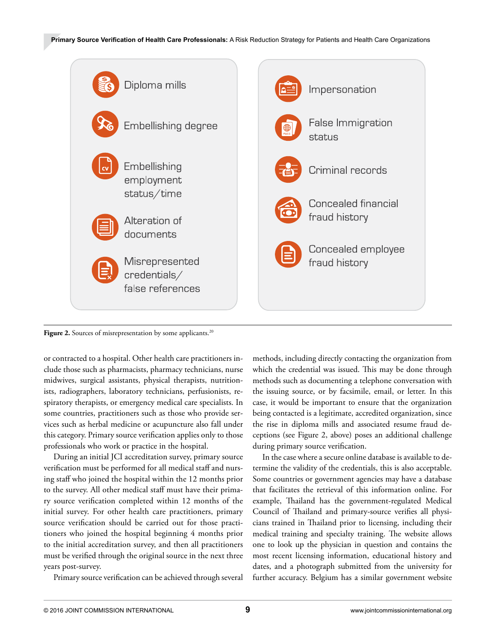

Figure 2. Sources of misrepresentation by some applicants.<sup>20</sup>

or contracted to a hospital. Other health care practitioners include those such as pharmacists, pharmacy technicians, nurse midwives, surgical assistants, physical therapists, nutritionists, radiographers, laboratory technicians, perfusionists, respiratory therapists, or emergency medical care specialists. In some countries, practitioners such as those who provide services such as herbal medicine or acupuncture also fall under this category. Primary source verification applies only to those professionals who work or practice in the hospital.

During an initial JCI accreditation survey, primary source verification must be performed for all medical staff and nursing staff who joined the hospital within the 12 months prior to the survey. All other medical staff must have their primary source verification completed within 12 months of the initial survey. For other health care practitioners, primary source verification should be carried out for those practitioners who joined the hospital beginning 4 months prior to the initial accreditation survey, and then all practitioners must be verified through the original source in the next three years post-survey.

Primary source verification can be achieved through several

methods, including directly contacting the organization from which the credential was issued. This may be done through methods such as documenting a telephone conversation with the issuing source, or by facsimile, email, or letter. In this case, it would be important to ensure that the organization being contacted is a legitimate, accredited organization, since the rise in diploma mills and associated resume fraud deceptions (see Figure 2, above) poses an additional challenge during primary source verification.

In the case where a secure online database is available to determine the validity of the credentials, this is also acceptable. Some countries or government agencies may have a database that facilitates the retrieval of this information online. For example, Thailand has the government-regulated Medical Council of Thailand and primary-source verifies all physicians trained in Thailand prior to licensing, including their medical training and specialty training. The website allows one to look up the physician in question and contains the most recent licensing information, educational history and dates, and a photograph submitted from the university for further accuracy. Belgium has a similar government website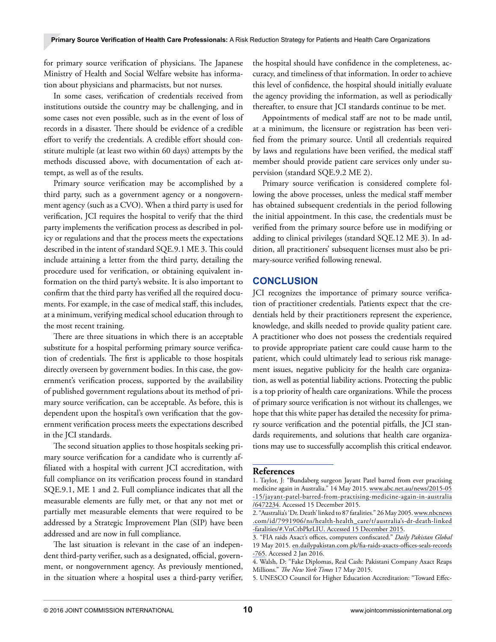for primary source verification of physicians. The Japanese Ministry of Health and Social Welfare website has information about physicians and pharmacists, but not nurses.

In some cases, verification of credentials received from institutions outside the country may be challenging, and in some cases not even possible, such as in the event of loss of records in a disaster. There should be evidence of a credible effort to verify the credentials. A credible effort should constitute multiple (at least two within 60 days) attempts by the methods discussed above, with documentation of each attempt, as well as of the results.

Primary source verification may be accomplished by a third party, such as a government agency or a nongovernment agency (such as a CVO). When a third party is used for verification, JCI requires the hospital to verify that the third party implements the verification process as described in policy or regulations and that the process meets the expectations described in the intent of standard SQE.9.1 ME 3. This could include attaining a letter from the third party, detailing the procedure used for verification, or obtaining equivalent information on the third party's website. It is also important to confirm that the third party has verified all the required documents. For example, in the case of medical staff, this includes, at a minimum, verifying medical school education through to the most recent training.

There are three situations in which there is an acceptable substitute for a hospital performing primary source verification of credentials. The first is applicable to those hospitals directly overseen by government bodies. In this case, the government's verification process, supported by the availability of published government regulations about its method of primary source verification, can be acceptable. As before, this is dependent upon the hospital's own verification that the government verification process meets the expectations described in the JCI standards.

The second situation applies to those hospitals seeking primary source verification for a candidate who is currently affiliated with a hospital with current JCI accreditation, with full compliance on its verification process found in standard SQE.9.1, ME 1 and 2. Full compliance indicates that all the measurable elements are fully met, or that any not met or partially met measurable elements that were required to be addressed by a Strategic Improvement Plan (SIP) have been addressed and are now in full compliance.

The last situation is relevant in the case of an independent third-party verifier, such as a designated, official, government, or nongovernment agency. As previously mentioned, in the situation where a hospital uses a third-party verifier, the hospital should have confidence in the completeness, accuracy, and timeliness of that information. In order to achieve this level of confidence, the hospital should initially evaluate the agency providing the information, as well as periodically thereafter, to ensure that JCI standards continue to be met.

Appointments of medical staff are not to be made until, at a minimum, the licensure or registration has been verified from the primary source. Until all credentials required by laws and regulations have been verified, the medical staff member should provide patient care services only under supervision (standard SQE.9.2 ME 2).

Primary source verification is considered complete following the above processes, unless the medical staff member has obtained subsequent credentials in the period following the initial appointment. In this case, the credentials must be verified from the primary source before use in modifying or adding to clinical privileges (standard SQE.12 ME 3). In addition, all practitioners' subsequent licenses must also be primary-source verified following renewal.

## **CONCLUSION**

JCI recognizes the importance of primary source verification of practitioner credentials. Patients expect that the credentials held by their practitioners represent the experience, knowledge, and skills needed to provide quality patient care. A practitioner who does not possess the credentials required to provide appropriate patient care could cause harm to the patient, which could ultimately lead to serious risk management issues, negative publicity for the health care organization, as well as potential liability actions. Protecting the public is a top priority of health care organizations. While the process of primary source verification is not without its challenges, we hope that this white paper has detailed the necessity for primary source verification and the potential pitfalls, the JCI standards requirements, and solutions that health care organizations may use to successfully accomplish this critical endeavor.

#### **References**

<sup>1.</sup> Taylor, J: "Bundaberg surgeon Jayant Patel barred from ever practising medicine again in Australia." 14 May 2015. [www.abc.net.au/news/2015-05](www.abc.net.au/news/2015-05-15/jayant-patel-barred-from-practising-medicine-again-in-australia/6472234) [-15/jayant-patel-barred-from-practising-medicine-again-in-australia](www.abc.net.au/news/2015-05-15/jayant-patel-barred-from-practising-medicine-again-in-australia/6472234) [/6472234.](www.abc.net.au/news/2015-05-15/jayant-patel-barred-from-practising-medicine-again-in-australia/6472234) Accessed 15 December 2015.

<sup>2. &</sup>quot;Australia's 'Dr. Death' linked to 87 fatalities." 26 May 2005. [www.nbcnews](http://www.nbcnews.com/id/7991906/ns/health-health_care/t/australia%E2%80%99s-dr-death-linked-fatalities/#.VpVr3_krKUl) [.com/id/7991906/ns/health-health\\_care/t/australia's-dr-death-linked](http://www.nbcnews.com/id/7991906/ns/health-health_care/t/australia%E2%80%99s-dr-death-linked-fatalities/#.VpVr3_krKUl) [-fatalities/#.VnCtbPkrLIU](http://www.nbcnews.com/id/7991906/ns/health-health_care/t/australia%E2%80%99s-dr-death-linked-fatalities/#.VpVr3_krKUl). Accessed 15 December 2015.

<sup>3. &</sup>quot;FIA raids Axact's offices, computers confiscated." *Daily Pakistan Global*  19 May 2015. [en.dailypakistan.com.pk/fia-raids-axacts-offices-seals-records](http://en.dailypakistan.com.pk/fia-raids-axacts-offices-seals-records-765) [-765](http://en.dailypakistan.com.pk/fia-raids-axacts-offices-seals-records-765). Accessed 2 Jan 2016.

<sup>4.</sup> Walsh, D: "Fake Diplomas, Real Cash: Pakistani Company Axact Reaps Millions." *The New York Times* 17 May 2015.

<sup>5.</sup> UNESCO Council for Higher Education Accreditation: "Toward Effec-